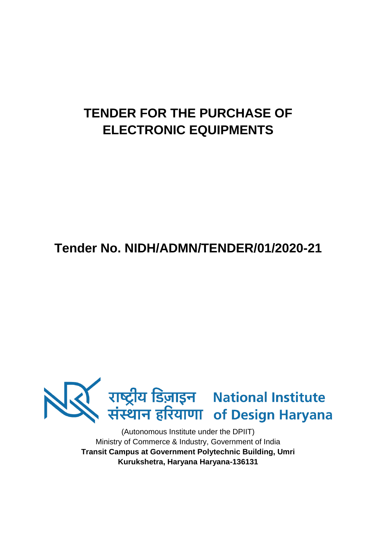# **TENDER FOR THE PURCHASE OF ELECTRONIC EQUIPMENTS**

**Tender No. NIDH/ADMN/TENDER/01/2020-21**



(Autonomous Institute under the DPIIT) Ministry of Commerce & Industry, Government of India **Transit Campus at Government Polytechnic Building, Umri Kurukshetra, Haryana Haryana-136131**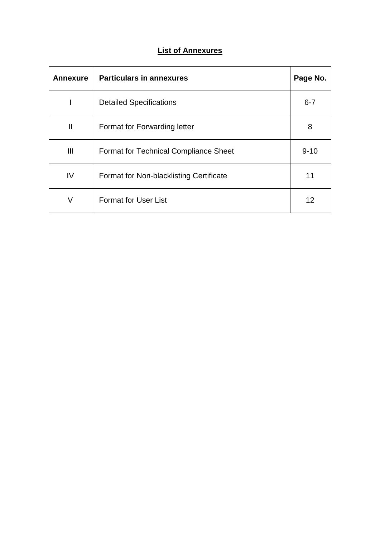## **List of Annexures**

| <b>Annexure</b> | <b>Particulars in annexures</b>              | Page No. |
|-----------------|----------------------------------------------|----------|
|                 | <b>Detailed Specifications</b>               | $6 - 7$  |
| Ш               | Format for Forwarding letter                 | 8        |
| Ш               | <b>Format for Technical Compliance Sheet</b> | $9 - 10$ |
| IV              | Format for Non-blacklisting Certificate      | 11       |
| V               | <b>Format for User List</b>                  | 12       |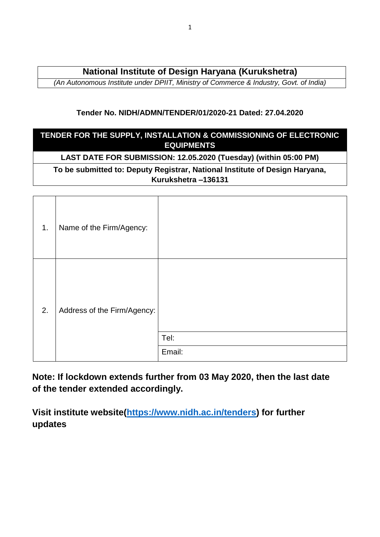# **National Institute of Design Haryana (Kurukshetra)**

*(An Autonomous Institute under DPIIT, Ministry of Commerce & Industry, Govt. of India)*

### **Tender No. NIDH/ADMN/TENDER/01/2020-21 Dated: 27.04.2020**

### **TENDER FOR THE SUPPLY, INSTALLATION & COMMISSIONING OF ELECTRONIC EQUIPMENTS**

## **LAST DATE FOR SUBMISSION: 12.05.2020 (Tuesday) (within 05:00 PM)**

### **To be submitted to: Deputy Registrar, National Institute of Design Haryana, Kurukshetra –136131**

| 1. | Name of the Firm/Agency:    |                |
|----|-----------------------------|----------------|
| 2. | Address of the Firm/Agency: | Tel:<br>Email: |

**Note: If lockdown extends further from 03 May 2020, then the last date of the tender extended accordingly.**

**Visit institute website[\(https://www.nidh.ac.in/tenders\)](https://www.nidh.ac.in/tenders) for further updates**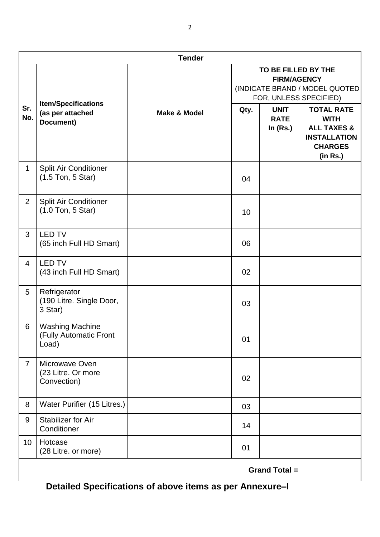| <b>Tender</b>  |                                                              |                         |                                                                                                        |                                          |                                                                                                                 |  |
|----------------|--------------------------------------------------------------|-------------------------|--------------------------------------------------------------------------------------------------------|------------------------------------------|-----------------------------------------------------------------------------------------------------------------|--|
|                |                                                              |                         | TO BE FILLED BY THE<br><b>FIRM/AGENCY</b><br>(INDICATE BRAND / MODEL QUOTED)<br>FOR, UNLESS SPECIFIED) |                                          |                                                                                                                 |  |
| Sr.<br>No.     | <b>Item/Specifications</b><br>(as per attached<br>Document)  | <b>Make &amp; Model</b> | Qty.                                                                                                   | <b>UNIT</b><br><b>RATE</b><br>In $(Rs.)$ | <b>TOTAL RATE</b><br><b>WITH</b><br><b>ALL TAXES &amp;</b><br><b>INSTALLATION</b><br><b>CHARGES</b><br>(in Rs.) |  |
| $\mathbf{1}$   | <b>Split Air Conditioner</b><br>$(1.5$ Ton, 5 Star)          |                         | 04                                                                                                     |                                          |                                                                                                                 |  |
| $\overline{2}$ | <b>Split Air Conditioner</b><br>(1.0 Ton, 5 Star)            |                         | 10                                                                                                     |                                          |                                                                                                                 |  |
| 3              | <b>LED TV</b><br>(65 inch Full HD Smart)                     |                         | 06                                                                                                     |                                          |                                                                                                                 |  |
| $\overline{4}$ | <b>LED TV</b><br>(43 inch Full HD Smart)                     |                         | 02                                                                                                     |                                          |                                                                                                                 |  |
| 5              | Refrigerator<br>(190 Litre. Single Door,<br>3 Star)          |                         | 03                                                                                                     |                                          |                                                                                                                 |  |
| 6              | <b>Washing Machine</b><br>(Fully Automatic Front<br>Load)    |                         | 01                                                                                                     |                                          |                                                                                                                 |  |
| $\overline{7}$ | Microwave Oven<br>(23 Litre. Or more<br>Convection)          |                         | 02                                                                                                     |                                          |                                                                                                                 |  |
| 8              | Water Purifier (15 Litres.)                                  |                         | 03                                                                                                     |                                          |                                                                                                                 |  |
| 9              | Stabilizer for Air<br>Conditioner                            |                         | 14                                                                                                     |                                          |                                                                                                                 |  |
| 10             | Hotcase<br>(28 Litre. or more)                               |                         | 01                                                                                                     |                                          |                                                                                                                 |  |
|                | <b>Grand Total =</b><br>Detailed Cussifications of chains if |                         |                                                                                                        |                                          |                                                                                                                 |  |

**Detailed Specifications of above items as per Annexure–I**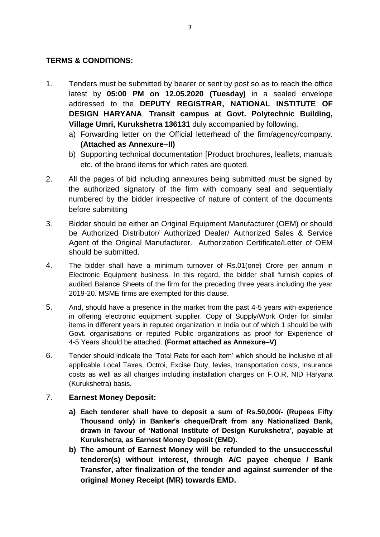### **TERMS & CONDITIONS:**

- 1. Tenders must be submitted by bearer or sent by post so as to reach the office latest by **05:00 PM on 12.05.2020 (Tuesday)** in a sealed envelope addressed to the **DEPUTY REGISTRAR, NATIONAL INSTITUTE OF DESIGN HARYANA**, **Transit campus at Govt. Polytechnic Building, Village Umri, Kurukshetra 136131** duly accompanied by following.
	- a) Forwarding letter on the Official letterhead of the firm/agency/company. **(Attached as Annexure–II)**
	- b) Supporting technical documentation [Product brochures, leaflets, manuals etc. of the brand items for which rates are quoted.
- 2. All the pages of bid including annexures being submitted must be signed by the authorized signatory of the firm with company seal and sequentially numbered by the bidder irrespective of nature of content of the documents before submitting
- 3. Bidder should be either an Original Equipment Manufacturer (OEM) or should be Authorized Distributor/ Authorized Dealer/ Authorized Sales & Service Agent of the Original Manufacturer. Authorization Certificate/Letter of OEM should be submitted.
- 4. The bidder shall have a minimum turnover of Rs.01(one) Crore per annum in Electronic Equipment business. In this regard, the bidder shall furnish copies of audited Balance Sheets of the firm for the preceding three years including the year 2019-20. MSME firms are exempted for this clause.
- 5. And, should have a presence in the market from the past 4-5 years with experience in offering electronic equipment supplier. Copy of Supply/Work Order for similar items in different years in reputed organization in India out of which 1 should be with Govt. organisations or reputed Public organizations as proof for Experience of 4-5 Years should be attached. **(Format attached as Annexure–V)**
- 6. Tender should indicate the 'Total Rate for each item' which should be inclusive of all applicable Local Taxes, Octroi, Excise Duty, levies, transportation costs, insurance costs as well as all charges including installation charges on F.O.R, NID Haryana (Kurukshetra) basis.

#### 7. **Earnest Money Deposit:**

- **a) Each tenderer shall have to deposit a sum of Rs.50,000/- (Rupees Fifty Thousand only) in Banker's cheque/Draft from any Nationalized Bank, drawn in favour of 'National Institute of Design Kurukshetra', payable at Kurukshetra, as Earnest Money Deposit (EMD).**
- **b) The amount of Earnest Money will be refunded to the unsuccessful tenderer(s) without interest, through A/C payee cheque / Bank Transfer, after finalization of the tender and against surrender of the original Money Receipt (MR) towards EMD.**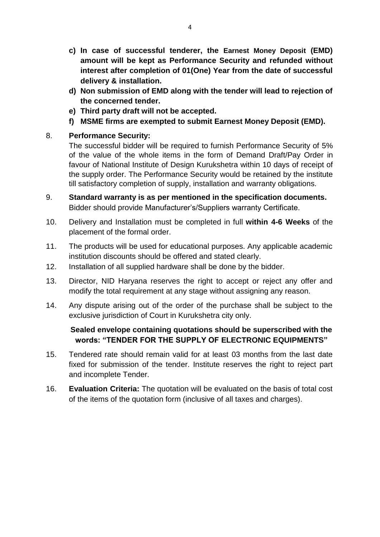- **c) In case of successful tenderer, the Earnest Money Deposit (EMD) amount will be kept as Performance Security and refunded without interest after completion of 01(One) Year from the date of successful delivery & installation.**
- **d) Non submission of EMD along with the tender will lead to rejection of the concerned tender.**
- **e) Third party draft will not be accepted.**
- **f) MSME firms are exempted to submit Earnest Money Deposit (EMD).**

### 8. **Performance Security:**

The successful bidder will be required to furnish Performance Security of 5% of the value of the whole items in the form of Demand Draft/Pay Order in favour of National Institute of Design Kurukshetra within 10 days of receipt of the supply order. The Performance Security would be retained by the institute till satisfactory completion of supply, installation and warranty obligations.

- 9. **Standard warranty is as per mentioned in the specification documents.** Bidder should provide Manufacturer's/Suppliers warranty Certificate.
- 10. Delivery and Installation must be completed in full **within 4-6 Weeks** of the placement of the formal order.
- 11. The products will be used for educational purposes. Any applicable academic institution discounts should be offered and stated clearly.
- 12. Installation of all supplied hardware shall be done by the bidder.
- 13. Director, NID Haryana reserves the right to accept or reject any offer and modify the total requirement at any stage without assigning any reason.
- 14. Any dispute arising out of the order of the purchase shall be subject to the exclusive jurisdiction of Court in Kurukshetra city only.

### **Sealed envelope containing quotations should be superscribed with the words: "TENDER FOR THE SUPPLY OF ELECTRONIC EQUIPMENTS"**

- 15. Tendered rate should remain valid for at least 03 months from the last date fixed for submission of the tender. Institute reserves the right to reject part and incomplete Tender.
- 16. **Evaluation Criteria:** The quotation will be evaluated on the basis of total cost of the items of the quotation form (inclusive of all taxes and charges).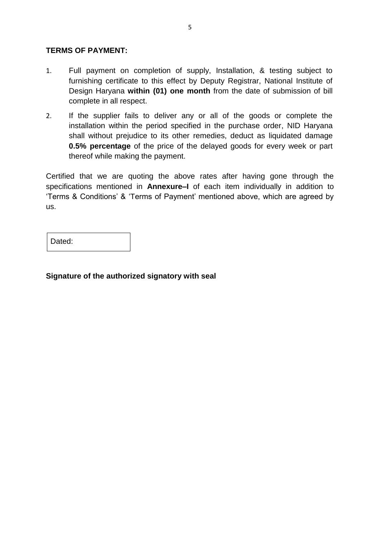### **TERMS OF PAYMENT:**

- 1. Full payment on completion of supply, Installation, & testing subject to furnishing certificate to this effect by Deputy Registrar, National Institute of Design Haryana **within (01) one month** from the date of submission of bill complete in all respect.
- 2. If the supplier fails to deliver any or all of the goods or complete the installation within the period specified in the purchase order, NID Haryana shall without prejudice to its other remedies, deduct as liquidated damage **0.5% percentage** of the price of the delayed goods for every week or part thereof while making the payment.

Certified that we are quoting the above rates after having gone through the specifications mentioned in **Annexure–I** of each item individually in addition to 'Terms & Conditions' & 'Terms of Payment' mentioned above, which are agreed by us.

Dated:

**Signature of the authorized signatory with seal**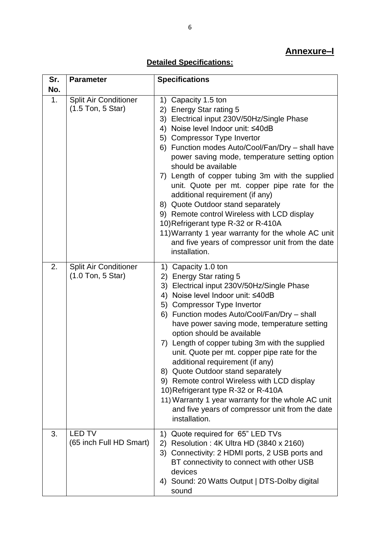# **Annexure–I**

# **Detailed Specifications:**

| Sr.<br>No. | <b>Parameter</b>                                    | <b>Specifications</b>                                                                                                                                                                                                                                                                                                                                                                                                                                                                                                                                                                                                                                                                                         |
|------------|-----------------------------------------------------|---------------------------------------------------------------------------------------------------------------------------------------------------------------------------------------------------------------------------------------------------------------------------------------------------------------------------------------------------------------------------------------------------------------------------------------------------------------------------------------------------------------------------------------------------------------------------------------------------------------------------------------------------------------------------------------------------------------|
| 1.         | <b>Split Air Conditioner</b><br>$(1.5$ Ton, 5 Star) | 1) Capacity 1.5 ton<br><b>Energy Star rating 5</b><br>(2)<br>Electrical input 230V/50Hz/Single Phase<br>3)<br>Noise level Indoor unit: ≤40dB<br>4)<br>5) Compressor Type Invertor<br>6) Function modes Auto/Cool/Fan/Dry - shall have<br>power saving mode, temperature setting option<br>should be available<br>7) Length of copper tubing 3m with the supplied<br>unit. Quote per mt. copper pipe rate for the<br>additional requirement (if any)<br>8) Quote Outdoor stand separately<br>9) Remote control Wireless with LCD display<br>10) Refrigerant type R-32 or R-410A<br>11) Warranty 1 year warranty for the whole AC unit<br>and five years of compressor unit from the date<br>installation.      |
| 2.         | <b>Split Air Conditioner</b><br>$(1.0$ Ton, 5 Star) | 1) Capacity 1.0 ton<br>2) Energy Star rating 5<br>Electrical input 230V/50Hz/Single Phase<br>3)<br>Noise level Indoor unit: ≤40dB<br>4)<br><b>Compressor Type Invertor</b><br>5)<br>Function modes Auto/Cool/Fan/Dry - shall<br>6)<br>have power saving mode, temperature setting<br>option should be available<br>Length of copper tubing 3m with the supplied<br>7)<br>unit. Quote per mt. copper pipe rate for the<br>additional requirement (if any)<br>8) Quote Outdoor stand separately<br>9) Remote control Wireless with LCD display<br>10) Refrigerant type R-32 or R-410A<br>11) Warranty 1 year warranty for the whole AC unit<br>and five years of compressor unit from the date<br>installation. |
| 3.         | <b>LED TV</b><br>(65 inch Full HD Smart)            | Quote required for 65" LED TVs<br>1)<br>Resolution: 4K Ultra HD (3840 x 2160)<br>2)<br>3) Connectivity: 2 HDMI ports, 2 USB ports and<br>BT connectivity to connect with other USB<br>devices<br>4) Sound: 20 Watts Output   DTS-Dolby digital<br>sound                                                                                                                                                                                                                                                                                                                                                                                                                                                       |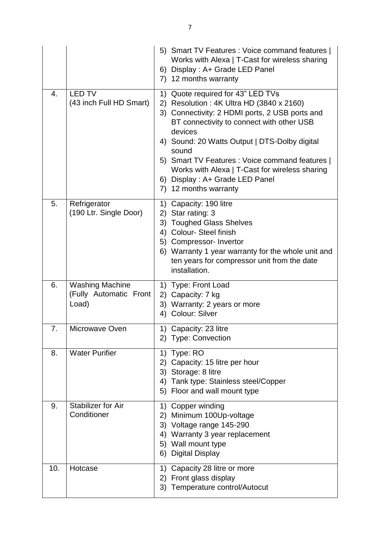|     |                                                           | 5) Smart TV Features : Voice command features  <br>Works with Alexa   T-Cast for wireless sharing<br>6) Display : A+ Grade LED Panel<br>12 months warranty<br>7)                                                                                                                                                                                                                                                           |
|-----|-----------------------------------------------------------|----------------------------------------------------------------------------------------------------------------------------------------------------------------------------------------------------------------------------------------------------------------------------------------------------------------------------------------------------------------------------------------------------------------------------|
| 4.  | <b>LED TV</b><br>(43 inch Full HD Smart)                  | Quote required for 43" LED TVs<br>1)<br>Resolution: 4K Ultra HD (3840 x 2160)<br>2)<br>3) Connectivity: 2 HDMI ports, 2 USB ports and<br>BT connectivity to connect with other USB<br>devices<br>4) Sound: 20 Watts Output   DTS-Dolby digital<br>sound<br>5) Smart TV Features : Voice command features  <br>Works with Alexa   T-Cast for wireless sharing<br>6) Display: A+ Grade LED Panel<br>12 months warranty<br>7) |
| 5.  | Refrigerator<br>(190 Ltr. Single Door)                    | Capacity: 190 litre<br>1)<br>2) Star rating: 3<br>3) Toughed Glass Shelves<br>Colour-Steel finish<br>4)<br>5) Compressor- Invertor<br>6) Warranty 1 year warranty for the whole unit and<br>ten years for compressor unit from the date<br>installation.                                                                                                                                                                   |
| 6.  | <b>Washing Machine</b><br>(Fully Automatic Front<br>Load) | 1) Type: Front Load<br>2) Capacity: 7 kg<br>3) Warranty: 2 years or more<br>4) Colour: Silver                                                                                                                                                                                                                                                                                                                              |
| 7.  | Microwave Oven                                            | 1) Capacity: 23 litre<br>2) Type: Convection                                                                                                                                                                                                                                                                                                                                                                               |
| 8.  | <b>Water Purifier</b>                                     | 1) Type: RO<br>Capacity: 15 litre per hour<br>2)<br>Storage: 8 litre<br>3)<br>Tank type: Stainless steel/Copper<br>4)<br>Floor and wall mount type<br>5)                                                                                                                                                                                                                                                                   |
| 9.  | <b>Stabilizer for Air</b><br>Conditioner                  | Copper winding<br>1)<br>Minimum 100Up-voltage<br>2)<br>3) Voltage range 145-290<br>Warranty 3 year replacement<br>4)<br>5) Wall mount type<br><b>Digital Display</b><br>6)                                                                                                                                                                                                                                                 |
| 10. | Hotcase                                                   | Capacity 28 litre or more<br>1)<br>2) Front glass display<br>Temperature control/Autocut<br>3)                                                                                                                                                                                                                                                                                                                             |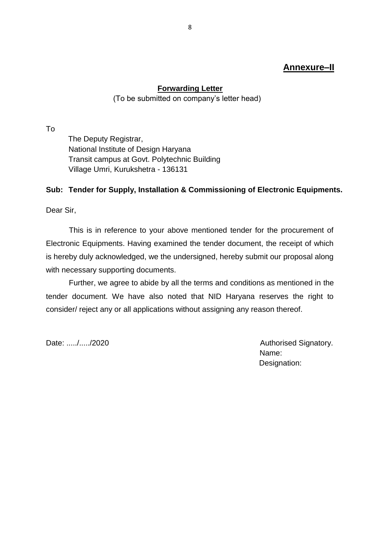# **Annexure–II**

### **Forwarding Letter**

(To be submitted on company's letter head)

To

The Deputy Registrar, National Institute of Design Haryana Transit campus at Govt. Polytechnic Building Village Umri, Kurukshetra - 136131

#### **Sub: Tender for Supply, Installation & Commissioning of Electronic Equipments.**

Dear Sir,

This is in reference to your above mentioned tender for the procurement of Electronic Equipments. Having examined the tender document, the receipt of which is hereby duly acknowledged, we the undersigned, hereby submit our proposal along with necessary supporting documents.

Further, we agree to abide by all the terms and conditions as mentioned in the tender document. We have also noted that NID Haryana reserves the right to consider/ reject any or all applications without assigning any reason thereof.

Date: ...../...../2020 **Date:** 2020 Name: Designation: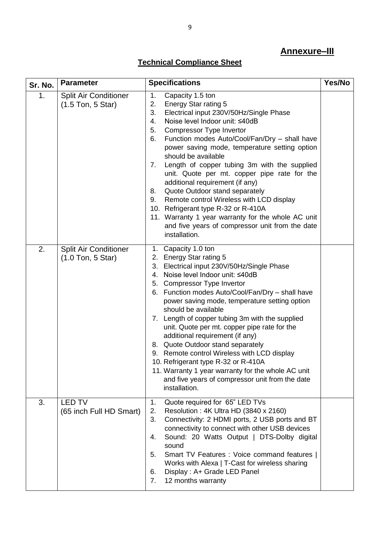# **Annexure–III**

# **Technical Compliance Sheet**

| Sr. No. | <b>Parameter</b>                                    | <b>Specifications</b>                                                                                                                                                                                                                                                                                                                                                                                                                                                                                                                                                                                                                                                                                                            | Yes/No |
|---------|-----------------------------------------------------|----------------------------------------------------------------------------------------------------------------------------------------------------------------------------------------------------------------------------------------------------------------------------------------------------------------------------------------------------------------------------------------------------------------------------------------------------------------------------------------------------------------------------------------------------------------------------------------------------------------------------------------------------------------------------------------------------------------------------------|--------|
| 1.      | <b>Split Air Conditioner</b><br>$(1.5$ Ton, 5 Star) | 1.<br>Capacity 1.5 ton<br>2.<br><b>Energy Star rating 5</b><br>3.<br>Electrical input 230V/50Hz/Single Phase<br>Noise level Indoor unit: ≤40dB<br>4.<br><b>Compressor Type Invertor</b><br>5.<br>Function modes Auto/Cool/Fan/Dry - shall have<br>6.<br>power saving mode, temperature setting option<br>should be available<br>Length of copper tubing 3m with the supplied<br>7.<br>unit. Quote per mt. copper pipe rate for the<br>additional requirement (if any)<br>Quote Outdoor stand separately<br>8.<br>Remote control Wireless with LCD display<br>9.<br>10. Refrigerant type R-32 or R-410A<br>11. Warranty 1 year warranty for the whole AC unit<br>and five years of compressor unit from the date<br>installation. |        |
| 2.      | <b>Split Air Conditioner</b><br>$(1.0$ Ton, 5 Star) | 1. Capacity 1.0 ton<br>2. Energy Star rating 5<br>Electrical input 230V/50Hz/Single Phase<br>3.<br>4. Noise level Indoor unit: ≤40dB<br>5. Compressor Type Invertor<br>6. Function modes Auto/Cool/Fan/Dry - shall have<br>power saving mode, temperature setting option<br>should be available<br>7. Length of copper tubing 3m with the supplied<br>unit. Quote per mt. copper pipe rate for the<br>additional requirement (if any)<br>8. Quote Outdoor stand separately<br>9. Remote control Wireless with LCD display<br>10. Refrigerant type R-32 or R-410A<br>11. Warranty 1 year warranty for the whole AC unit<br>and five years of compressor unit from the date<br>installation.                                       |        |
| 3.      | <b>LED TV</b><br>(65 inch Full HD Smart)            | Quote required for 65" LED TVs<br>1.<br>Resolution: 4K Ultra HD (3840 x 2160)<br>2.<br>Connectivity: 2 HDMI ports, 2 USB ports and BT<br>3.<br>connectivity to connect with other USB devices<br>Sound: 20 Watts Output   DTS-Dolby digital<br>4.<br>sound<br>Smart TV Features : Voice command features  <br>5.<br>Works with Alexa   T-Cast for wireless sharing<br>Display: A+ Grade LED Panel<br>6.<br>12 months warranty<br>7.                                                                                                                                                                                                                                                                                              |        |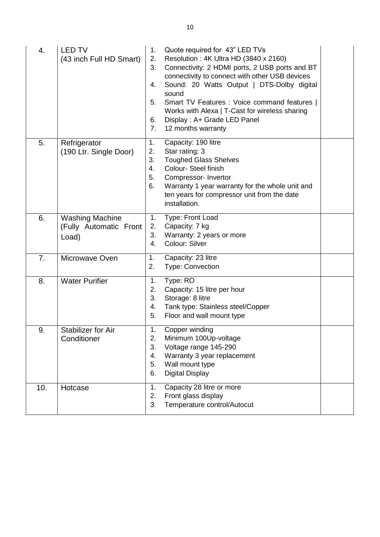| 4.  | <b>LED TV</b><br>(43 inch Full HD Smart)                  | 1.<br>2.<br>3.<br>4.<br>5.<br>6.<br>7. | Quote required for 43" LED TVs<br>Resolution: 4K Ultra HD (3840 x 2160)<br>Connectivity: 2 HDMI ports, 2 USB ports and BT<br>connectivity to connect with other USB devices<br>Sound: 20 Watts Output   DTS-Dolby digital<br>sound<br>Smart TV Features : Voice command features  <br>Works with Alexa   T-Cast for wireless sharing<br>Display: A+ Grade LED Panel<br>12 months warranty |  |  |
|-----|-----------------------------------------------------------|----------------------------------------|-------------------------------------------------------------------------------------------------------------------------------------------------------------------------------------------------------------------------------------------------------------------------------------------------------------------------------------------------------------------------------------------|--|--|
| 5.  | Refrigerator<br>(190 Ltr. Single Door)                    | 1.<br>2.<br>3.<br>4.<br>5.<br>6.       | Capacity: 190 litre<br>Star rating: 3<br><b>Toughed Glass Shelves</b><br>Colour- Steel finish<br>Compressor-Invertor<br>Warranty 1 year warranty for the whole unit and<br>ten years for compressor unit from the date<br>installation.                                                                                                                                                   |  |  |
| 6.  | <b>Washing Machine</b><br>(Fully Automatic Front<br>Load) | 1.<br>2.<br>3.<br>4.                   | Type: Front Load<br>Capacity: 7 kg<br>Warranty: 2 years or more<br>Colour: Silver                                                                                                                                                                                                                                                                                                         |  |  |
| 7.  | Microwave Oven                                            | 1.<br>2.                               | Capacity: 23 litre<br><b>Type: Convection</b>                                                                                                                                                                                                                                                                                                                                             |  |  |
| 8.  | <b>Water Purifier</b>                                     | 1.<br>2.<br>3.<br>4.<br>5.             | Type: RO<br>Capacity: 15 litre per hour<br>Storage: 8 litre<br>Tank type: Stainless steel/Copper<br>Floor and wall mount type                                                                                                                                                                                                                                                             |  |  |
| 9.  | <b>Stabilizer for Air</b><br>Conditioner                  | 1.<br>2.<br>3.<br>4.<br>5.<br>6.       | Copper winding<br>Minimum 100Up-voltage<br>Voltage range 145-290<br>Warranty 3 year replacement<br>Wall mount type<br><b>Digital Display</b>                                                                                                                                                                                                                                              |  |  |
| 10. | Hotcase                                                   | 1.<br>2.<br>3.                         | Capacity 28 litre or more<br>Front glass display<br>Temperature control/Autocut                                                                                                                                                                                                                                                                                                           |  |  |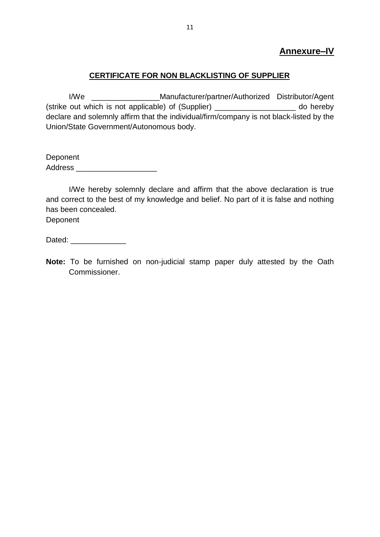### **Annexure–IV**

### **CERTIFICATE FOR NON BLACKLISTING OF SUPPLIER**

I/We \_\_\_\_\_\_\_\_\_\_\_\_\_\_\_\_Manufacturer/partner/Authorized Distributor/Agent (strike out which is not applicable) of (Supplier) \_\_\_\_\_\_\_\_\_\_\_\_\_\_\_\_\_\_\_ do hereby declare and solemnly affirm that the individual/firm/company is not black-listed by the Union/State Government/Autonomous body.

Deponent Address **and a** 

I/We hereby solemnly declare and affirm that the above declaration is true and correct to the best of my knowledge and belief. No part of it is false and nothing has been concealed.

Deponent

Dated:

**Note:** To be furnished on non-judicial stamp paper duly attested by the Oath Commissioner.